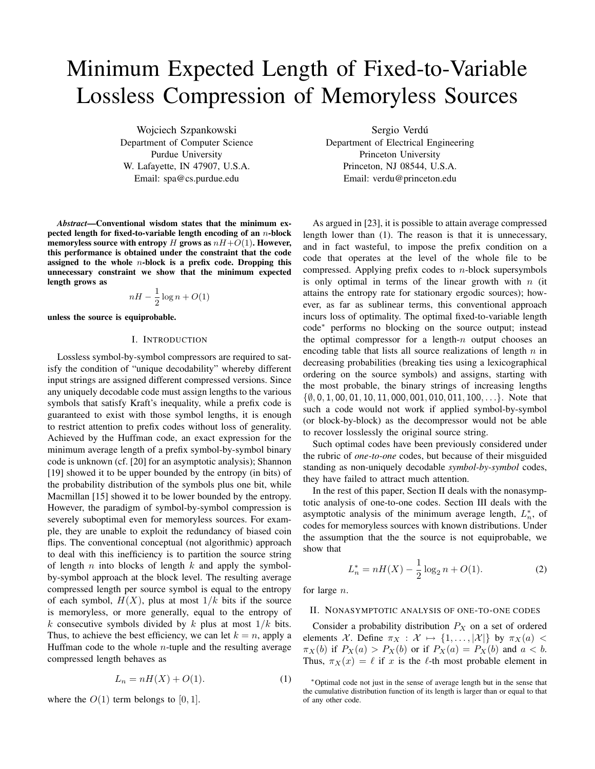# Minimum Expected Length of Fixed-to-Variable Lossless Compression of Memoryless Sources

Wojciech Szpankowski Department of Computer Science Purdue University W. Lafayette, IN 47907, U.S.A. Email: spa@cs.purdue.edu

*Abstract*—Conventional wisdom states that the minimum expected length for fixed-to-variable length encoding of an  $n$ -block memoryless source with entropy H grows as  $nH+O(1)$ . However, this performance is obtained under the constraint that the code assigned to the whole  $n$ -block is a prefix code. Dropping this unnecessary constraint we show that the minimum expected length grows as

$$
nH - \frac{1}{2}\log n + O(1)
$$

unless the source is equiprobable.

# I. INTRODUCTION

Lossless symbol-by-symbol compressors are required to satisfy the condition of "unique decodability" whereby different input strings are assigned different compressed versions. Since any uniquely decodable code must assign lengths to the various symbols that satisfy Kraft's inequality, while a prefix code is guaranteed to exist with those symbol lengths, it is enough to restrict attention to prefix codes without loss of generality. Achieved by the Huffman code, an exact expression for the minimum average length of a prefix symbol-by-symbol binary code is unknown (cf. [20] for an asymptotic analysis); Shannon [19] showed it to be upper bounded by the entropy (in bits) of the probability distribution of the symbols plus one bit, while Macmillan [15] showed it to be lower bounded by the entropy. However, the paradigm of symbol-by-symbol compression is severely suboptimal even for memoryless sources. For example, they are unable to exploit the redundancy of biased coin flips. The conventional conceptual (not algorithmic) approach to deal with this inefficiency is to partition the source string of length  $n$  into blocks of length  $k$  and apply the symbolby-symbol approach at the block level. The resulting average compressed length per source symbol is equal to the entropy of each symbol,  $H(X)$ , plus at most  $1/k$  bits if the source is memoryless, or more generally, equal to the entropy of k consecutive symbols divided by k plus at most  $1/k$  bits. Thus, to achieve the best efficiency, we can let  $k = n$ , apply a Huffman code to the whole  $n$ -tuple and the resulting average compressed length behaves as

$$
L_n = nH(X) + O(1). \tag{1}
$$

where the  $O(1)$  term belongs to [0, 1].

Sergio Verdú

Department of Electrical Engineering Princeton University Princeton, NJ 08544, U.S.A. Email: verdu@princeton.edu

As argued in [23], it is possible to attain average compressed length lower than (1). The reason is that it is unnecessary, and in fact wasteful, to impose the prefix condition on a code that operates at the level of the whole file to be compressed. Applying prefix codes to  $n$ -block supersymbols is only optimal in terms of the linear growth with  $n$  (it attains the entropy rate for stationary ergodic sources); however, as far as sublinear terms, this conventional approach incurs loss of optimality. The optimal fixed-to-variable length code<sup>∗</sup> performs no blocking on the source output; instead the optimal compressor for a length- $n$  output chooses an encoding table that lists all source realizations of length  $n$  in decreasing probabilities (breaking ties using a lexicographical ordering on the source symbols) and assigns, starting with the most probable, the binary strings of increasing lengths  $\{\emptyset, 0, 1, 00, 01, 10, 11, 000, 001, 010, 011, 100, \ldots\}$ . Note that such a code would not work if applied symbol-by-symbol (or block-by-block) as the decompressor would not be able to recover losslessly the original source string.

Such optimal codes have been previously considered under the rubric of *one-to-one* codes, but because of their misguided standing as non-uniquely decodable *symbol-by-symbol* codes, they have failed to attract much attention.

In the rest of this paper, Section II deals with the nonasymptotic analysis of one-to-one codes. Section III deals with the asymptotic analysis of the minimum average length,  $L_n^*$ , of codes for memoryless sources with known distributions. Under the assumption that the the source is not equiprobable, we show that

$$
L_n^* = nH(X) - \frac{1}{2}\log_2 n + O(1).
$$
 (2)

for large n.

## II. NONASYMPTOTIC ANALYSIS OF ONE-TO-ONE CODES

Consider a probability distribution  $P_X$  on a set of ordered elements X. Define  $\pi_X : \mathcal{X} \mapsto \{1, \ldots, |\mathcal{X}|\}$  by  $\pi_X(a)$  $\pi_X(b)$  if  $P_X(a) > P_X(b)$  or if  $P_X(a) = P_X(b)$  and  $a < b$ . Thus,  $\pi_X(x) = \ell$  if x is the  $\ell$ -th most probable element in

<sup>∗</sup>Optimal code not just in the sense of average length but in the sense that the cumulative distribution function of its length is larger than or equal to that of any other code.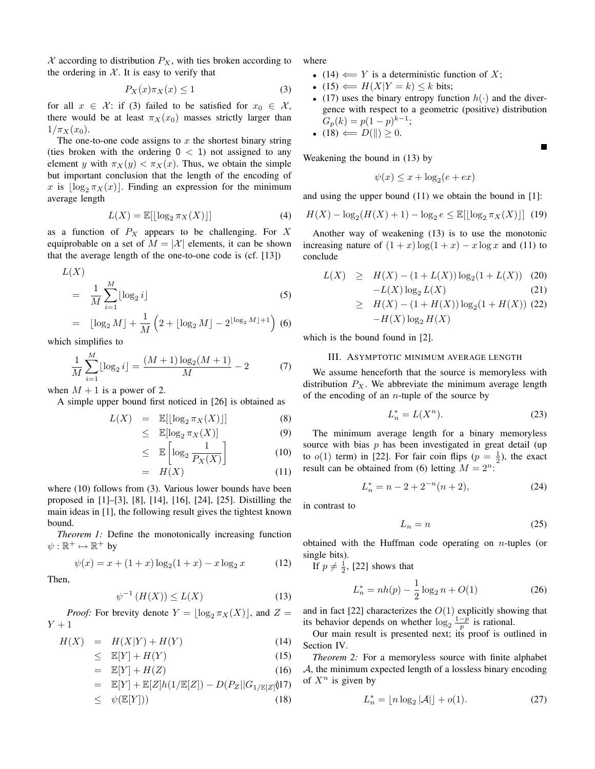$X$  according to distribution  $P_X$ , with ties broken according to the ordering in  $X$ . It is easy to verify that

$$
P_X(x)\pi_X(x) \le 1\tag{3}
$$

for all  $x \in \mathcal{X}$ : if (3) failed to be satisfied for  $x_0 \in \mathcal{X}$ , there would be at least  $\pi_X(x_0)$  masses strictly larger than  $1/\pi_X(x_0)$ .

The one-to-one code assigns to  $x$  the shortest binary string (ties broken with the ordering  $0 < 1$ ) not assigned to any element y with  $\pi_X(y) < \pi_X(x)$ . Thus, we obtain the simple but important conclusion that the length of the encoding of x is  $\log_2 \pi_X(x)$ . Finding an expression for the minimum average length

$$
L(X) = \mathbb{E}[\lfloor \log_2 \pi_X(X) \rfloor] \tag{4}
$$

as a function of  $P_X$  appears to be challenging. For X equiprobable on a set of  $M = |\mathcal{X}|$  elements, it can be shown that the average length of the one-to-one code is (cf. [13])

$$
L(X)
$$
  
= 
$$
\frac{1}{M} \sum_{i=1}^{M} \lfloor \log_2 i \rfloor
$$
 (5)

$$
= \lfloor \log_2 M \rfloor + \frac{1}{M} \left( 2 + \lfloor \log_2 M \rfloor - 2^{\lfloor \log_2 M \rfloor + 1} \right) (6)
$$

which simplifies to

$$
\frac{1}{M} \sum_{i=1}^{M} \lfloor \log_2 i \rfloor = \frac{(M+1) \log_2 (M+1)}{M} - 2 \tag{7}
$$

when  $M + 1$  is a power of 2.

A simple upper bound first noticed in [26] is obtained as

$$
L(X) = \mathbb{E}[\lfloor \log_2 \pi_X(X) \rfloor] \tag{8}
$$
  
< 
$$
\leq \mathbb{E}[\log_2 \pi_X(X)] \tag{9}
$$

$$
\leq \mathbb{E}\left[\log_2 \frac{1}{P_X(X)}\right] \tag{10}
$$

$$
= H(X) \tag{11}
$$

where (10) follows from (3). Various lower bounds have been proposed in [1]–[3], [8], [14], [16], [24], [25]. Distilling the main ideas in [1], the following result gives the tightest known bound.

*Theorem 1:* Define the monotonically increasing function  $\psi: \mathbb{R}^+ \mapsto \mathbb{R}^+$  by

$$
\psi(x) = x + (1+x)\log_2(1+x) - x\log_2 x \tag{12}
$$

Then,

$$
\psi^{-1}\left(H(X)\right) \le L(X) \tag{13}
$$

*Proof:* For brevity denote  $Y = \lfloor \log_2 \pi_X(X) \rfloor$ , and  $Z =$  $Y+1$ 

$$
H(X) = H(X|Y) + H(Y) \tag{14}
$$

$$
\leq \mathbb{E}[Y] + H(Y) \tag{15}
$$

$$
= \mathbb{E}[Y] + H(Z) \tag{16}
$$

$$
= \mathbb{E}[Y] + \mathbb{E}[Z]h(1/\mathbb{E}[Z]) - D(P_Z||G_{1/\mathbb{E}[Z]}\hat{\mathbf{U}})
$$

$$
\leq \psi(\mathbb{E}[Y])) \tag{18}
$$

where

- (14)  $\leftarrow$  Y is a deterministic function of X;
- (15)  $\Leftarrow H(X|Y = k) \le k$  bits;
- (17) uses the binary entropy function  $h(\cdot)$  and the divergence with respect to a geometric (positive) distribution  $G_p(k) = p(1-p)^{k-1};$

П

• (18)  $\Leftarrow$   $D(\parallel) \geq 0$ .

Weakening the bound in (13) by

$$
\psi(x) \le x + \log_2(e + ex)
$$

and using the upper bound (11) we obtain the bound in [1]:

$$
H(X) - \log_2(H(X) + 1) - \log_2 e \le \mathbb{E}[\lfloor \log_2 \pi_X(X) \rfloor] \tag{19}
$$

Another way of weakening (13) is to use the monotonic increasing nature of  $(1 + x) \log(1 + x) - x \log x$  and (11) to conclude

$$
L(X) \geq H(X) - (1 + L(X)) \log_2(1 + L(X)) \quad (20)
$$

$$
-L(X) \log_2 L(X) \quad (21)
$$

$$
\geq H(X) - (1 + H(X)) \log_2(1 + H(X)) \text{ (22)}-H(X) \log_2 H(X)
$$

which is the bound found in [2].

## III. ASYMPTOTIC MINIMUM AVERAGE LENGTH

We assume henceforth that the source is memoryless with distribution  $P_X$ . We abbreviate the minimum average length of the encoding of an  $n$ -tuple of the source by

$$
L_n^* = L(X^n). \tag{23}
$$

The minimum average length for a binary memoryless source with bias  $p$  has been investigated in great detail (up to  $o(1)$  term) in [22]. For fair coin flips  $(p = \frac{1}{2})$ , the exact result can be obtained from (6) letting  $M = 2^n$ :

$$
L_n^* = n - 2 + 2^{-n}(n+2),\tag{24}
$$

in contrast to

$$
L_n = n \tag{25}
$$

obtained with the Huffman code operating on  $n$ -tuples (or single bits).

If  $p \neq \frac{1}{2}$ , [22] shows that

$$
L_n^* = nh(p) - \frac{1}{2}\log_2 n + O(1)
$$
 (26)

and in fact [22] characterizes the  $O(1)$  explicitly showing that its behavior depends on whether  $\log_2 \frac{1-p}{p}$  is rational.

Our main result is presented next; its proof is outlined in Section IV.

*Theorem 2:* For a memoryless source with finite alphabet A, the minimum expected length of a lossless binary encoding of  $X^n$  is given by

$$
L_n^* = \lfloor n \log_2 |\mathcal{A}| \rfloor + o(1). \tag{27}
$$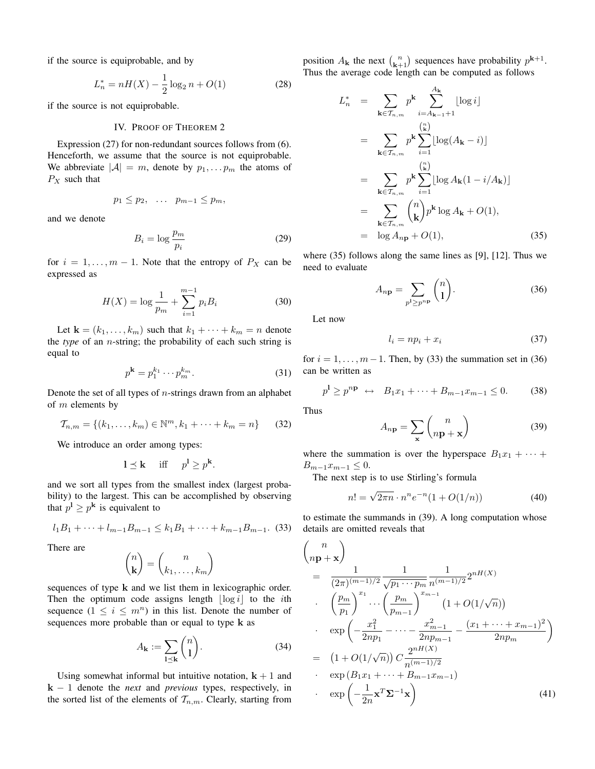if the source is equiprobable, and by

$$
L_n^* = nH(X) - \frac{1}{2}\log_2 n + O(1)
$$
 (28)

if the source is not equiprobable.

### IV. PROOF OF THEOREM 2

Expression (27) for non-redundant sources follows from (6). Henceforth, we assume that the source is not equiprobable. We abbreviate  $|\mathcal{A}| = m$ , denote by  $p_1, \ldots, p_m$  the atoms of  $P_X$  such that

$$
p_1 \leq p_2, \quad \dots \quad p_{m-1} \leq p_m,
$$

and we denote

$$
B_i = \log \frac{p_m}{p_i} \tag{29}
$$

for  $i = 1, \ldots, m - 1$ . Note that the entropy of  $P_X$  can be expressed as

$$
H(X) = \log \frac{1}{p_m} + \sum_{i=1}^{m-1} p_i B_i
$$
 (30)

Let  $\mathbf{k} = (k_1, \ldots, k_m)$  such that  $k_1 + \cdots + k_m = n$  denote the *type* of an n-string; the probability of each such string is equal to

$$
p^{\mathbf{k}} = p_1^{k_1} \cdots p_m^{k_m}.
$$

Denote the set of all types of  $n$ -strings drawn from an alphabet of  $m$  elements by

$$
\mathcal{T}_{n,m} = \{(k_1, \dots, k_m) \in \mathbb{N}^m, k_1 + \dots + k_m = n\}
$$
 (32)

We introduce an order among types:

$$
1 \leq \mathbf{k}
$$
 iff  $p^1 \geq p^{\mathbf{k}}$ .

and we sort all types from the smallest index (largest probability) to the largest. This can be accomplished by observing that  $p^{\mathbf{l}} \geq p^{\mathbf{k}}$  is equivalent to

$$
l_1B_1 + \dots + l_{m-1}B_{m-1} \leq k_1B_1 + \dots + k_{m-1}B_{m-1}.
$$
 (33)

There are

$$
\binom{n}{\mathbf{k}} = \binom{n}{k_1, \dots, k_m}
$$

sequences of type k and we list them in lexicographic order. Then the optimum code assigns length  $\lfloor \log i \rfloor$  to the *i*th sequence  $(1 \leq i \leq m^n)$  in this list. Denote the number of sequences more probable than or equal to type k as

$$
A_{\mathbf{k}} := \sum_{1 \leq \mathbf{k}} \binom{n}{1}.
$$
 (34)

Using somewhat informal but intuitive notation,  $k + 1$  and k − 1 denote the *next* and *previous* types, respectively, in the sorted list of the elements of  $\mathcal{T}_{n,m}$ . Clearly, starting from

position  $A_{\mathbf{k}}$  the next  $\binom{n}{\mathbf{k}+1}$  sequences have probability  $p^{\mathbf{k}+1}$ . Thus the average code length can be computed as follows

$$
L_n^* = \sum_{\mathbf{k} \in \mathcal{T}_{n,m}} p^{\mathbf{k}} \sum_{i=A_{\mathbf{k}-1}+1}^{A_{\mathbf{k}}} \lfloor \log i \rfloor
$$
  
\n
$$
= \sum_{\mathbf{k} \in \mathcal{T}_{n,m}} p^{\mathbf{k}} \sum_{i=1}^{\binom{n}{\mathbf{k}}} \lfloor \log(A_{\mathbf{k}} - i) \rfloor
$$
  
\n
$$
= \sum_{\mathbf{k} \in \mathcal{T}_{n,m}} p^{\mathbf{k}} \sum_{i=1}^{\binom{n}{\mathbf{k}}} \lfloor \log A_{\mathbf{k}} (1 - i/A_{\mathbf{k}}) \rfloor
$$
  
\n
$$
= \sum_{\mathbf{k} \in \mathcal{T}_{n,m}} {n \choose \mathbf{k}} p^{\mathbf{k}} \log A_{\mathbf{k}} + O(1),
$$
  
\n
$$
= \log A_{np} + O(1), \qquad (35)
$$

where (35) follows along the same lines as [9], [12]. Thus we need to evaluate

$$
A_{n\mathbf{p}} = \sum_{p^1 \ge p^{n\mathbf{p}}} \binom{n}{1}.
$$
 (36)

Let now

$$
l_i = np_i + x_i \tag{37}
$$

for  $i = 1, \ldots, m-1$ . Then, by (33) the summation set in (36) can be written as

$$
p^{1} \ge p^{np} \leftrightarrow B_1 x_1 + \dots + B_{m-1} x_{m-1} \le 0.
$$
 (38)

Thus

$$
A_{n\mathbf{p}} = \sum_{\mathbf{x}} \binom{n}{n\mathbf{p} + \mathbf{x}} \tag{39}
$$

where the summation is over the hyperspace  $B_1x_1 + \cdots$  $B_{m-1}x_{m-1} \leq 0.$ 

The next step is to use Stirling's formula

$$
n! = \sqrt{2\pi n} \cdot n^n e^{-n} (1 + O(1/n))
$$
 (40)

to estimate the summands in (39). A long computation whose details are omitted reveals that

$$
\begin{aligned}\n\binom{n}{n\mathbf{p}+\mathbf{x}} \\
&= \frac{1}{(2\pi)^{(m-1)/2}} \frac{1}{\sqrt{p_1 \cdots p_m}} \frac{1}{n^{(m-1)/2}} 2^{nH(X)} \\
&\cdot \left(\frac{p_m}{p_1}\right)^{x_1} \cdots \left(\frac{p_m}{p_{m-1}}\right)^{x_{m-1}} \left(1 + O(1/\sqrt{n})\right) \\
&\cdot \exp\left(-\frac{x_1^2}{2np_1} - \cdots - \frac{x_{m-1}^2}{2np_{m-1}} - \frac{(x_1 + \cdots + x_{m-1})^2}{2np_m}\right) \\
&= \left(1 + O(1/\sqrt{n})\right) C \frac{2^{nH(X)}}{n^{(m-1)/2}} \\
&\cdot \exp\left(B_1 x_1 + \cdots + B_{m-1} x_{m-1}\right) \\
&\cdot \exp\left(-\frac{1}{2n} \mathbf{x}^T \mathbf{\Sigma}^{-1} \mathbf{x}\right)\n\end{aligned} \tag{41}
$$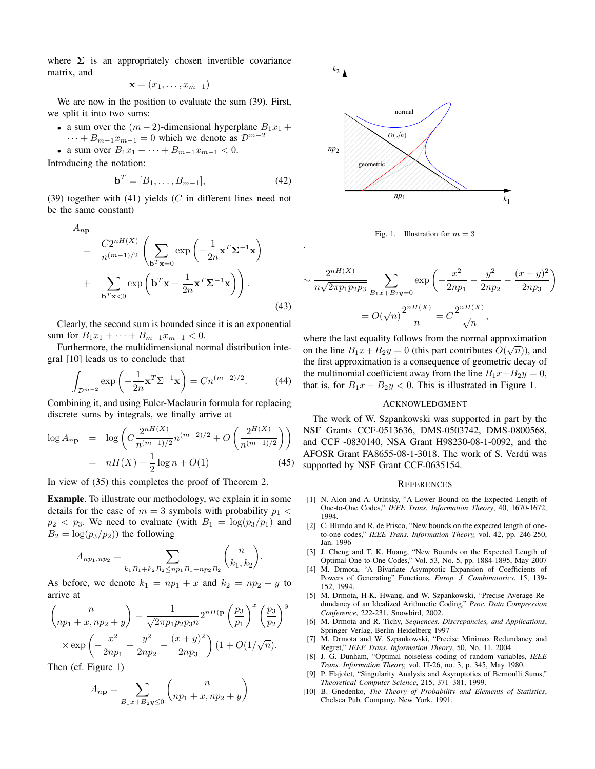where  $\Sigma$  is an appropriately chosen invertible covariance matrix, and

$$
\mathbf{x} = (x_1, \ldots, x_{m-1})
$$

We are now in the position to evaluate the sum (39). First, we split it into two sums:

- a sum over the  $(m-2)$ -dimensional hyperplane  $B_1x_1 +$  $\cdots + B_{m-1}x_{m-1} = 0$  which we denote as  $\mathcal{D}^{m-2}$
- a sum over  $B_1x_1 + \cdots + B_{m-1}x_{m-1} < 0$ .

Introducing the notation:

$$
\mathbf{b}^T = [B_1, \dots, B_{m-1}],\tag{42}
$$

.

(39) together with (41) yields  $(C$  in different lines need not be the same constant)

$$
A_{n\mathbf{p}} = \frac{C2^{nH(X)}}{n^{(m-1)/2}} \left( \sum_{\mathbf{b}^T \mathbf{x} = 0} \exp\left( -\frac{1}{2n} \mathbf{x}^T \mathbf{\Sigma}^{-1} \mathbf{x} \right) + \sum_{\mathbf{b}^T \mathbf{x} < 0} \exp\left( \mathbf{b}^T \mathbf{x} - \frac{1}{2n} \mathbf{x}^T \mathbf{\Sigma}^{-1} \mathbf{x} \right) \right).
$$
\n(43)

Clearly, the second sum is bounded since it is an exponential sum for  $B_1x_1 + \cdots + B_{m-1}x_{m-1} < 0$ .

Furthermore, the multidimensional normal distribution integral [10] leads us to conclude that

$$
\int_{\mathcal{D}^{m-2}} \exp\left(-\frac{1}{2n}\mathbf{x}^T \Sigma^{-1} \mathbf{x}\right) = Cn^{(m-2)/2}.\tag{44}
$$

Combining it, and using Euler-Maclaurin formula for replacing discrete sums by integrals, we finally arrive at

$$
\log A_{n\mathbf{p}} = \log \left( C \frac{2^{nH(X)}}{n^{(m-1)/2}} n^{(m-2)/2} + O \left( \frac{2^{H(X)}}{n^{(m-1)/2}} \right) \right)
$$
  
=  $nH(X) - \frac{1}{2} \log n + O(1)$  (45)

In view of (35) this completes the proof of Theorem 2.

Example. To illustrate our methodology, we explain it in some details for the case of  $m = 3$  symbols with probability  $p_1 <$  $p_2$  <  $p_3$ . We need to evaluate (with  $B_1 = \log(p_3/p_1)$  and  $B_2 = \log(p_3/p_2)$  the following

$$
A_{np_1, np_2} = \sum_{k_1B_1+k_2B_2 \leq np_1B_1+np_2B_2} {n \choose k_1, k_2}.
$$

As before, we denote  $k_1 = np_1 + x$  and  $k_2 = np_2 + y$  to arrive at

$$
\binom{n}{np_1 + x, np_2 + y} = \frac{1}{\sqrt{2\pi p_1 p_2 p_3 n}} 2^{nH(\mathbf{p})} \left(\frac{p_3}{p_1}\right)^x \left(\frac{p_3}{p_2}\right)^y
$$

$$
\times \exp\left(-\frac{x^2}{2np_1} - \frac{y^2}{2np_2} - \frac{(x+y)^2}{2np_3}\right) (1 + O(1/\sqrt{n}).
$$

Then (cf. Figure 1)

$$
A_{n\mathbf{p}} = \sum_{B_1x + B_2y \le 0} {n \choose np_1 + x, np_2 + y}
$$



Fig. 1. Illustration for  $m = 3$ 

$$
\sim \frac{2^{nH(X)}}{n\sqrt{2\pi p_1 p_2 p_3}} \sum_{B_1 x + B_2 y = 0} \exp\left(-\frac{x^2}{2np_1} - \frac{y^2}{2np_2} - \frac{(x+y)^2}{2np_3}\right)
$$

$$
= O(\sqrt{n}) \frac{2^{nH(X)}}{n} = C \frac{2^{nH(X)}}{\sqrt{n}},
$$

where the last equality follows from the normal approximation on the line  $B_1x + B_2y = 0$  (this part contributes  $O(\sqrt{n})$ ), and the first approximation is a consequence of geometric decay of the multinomial coefficient away from the line  $B_1x+B_2y=0$ , that is, for  $B_1x + B_2y < 0$ . This is illustrated in Figure 1.

#### ACKNOWLEDGMENT

The work of W. Szpankowski was supported in part by the NSF Grants CCF-0513636, DMS-0503742, DMS-0800568, and CCF -0830140, NSA Grant H98230-08-1-0092, and the AFOSR Grant FA8655-08-1-3018. The work of S. Verdú was supported by NSF Grant CCF-0635154.

#### **REFERENCES**

- [1] N. Alon and A. Orlitsky, "A Lower Bound on the Expected Length of One-to-One Codes," *IEEE Trans. Information Theory*, 40, 1670-1672, 1994.
- [2] C. Blundo and R. de Prisco, "New bounds on the expected length of oneto-one codes," *IEEE Trans. Information Theory,* vol. 42, pp. 246-250, Jan. 1996
- [3] J. Cheng and T. K. Huang, "New Bounds on the Expected Length of Optimal One-to-One Codes," Vol. 53, No. 5, pp. 1884-1895, May 2007
- [4] M. Drmota, "A Bivariate Asymptotic Expansion of Coefficients of Powers of Generating" Functions, *Europ. J. Combinatorics*, 15, 139- 152, 1994.
- [5] M. Drmota, H-K. Hwang, and W. Szpankowski, "Precise Average Redundancy of an Idealized Arithmetic Coding," *Proc. Data Compression Conference*, 222-231, Snowbird, 2002.
- [6] M. Drmota and R. Tichy, *Sequences, Discrepancies, and Applications*, Springer Verlag, Berlin Heidelberg 1997
- [7] M. Drmota and W. Szpankowski, "Precise Minimax Redundancy and Regret," *IEEE Trans. Information Theory*, 50, No. 11, 2004.
- [8] J. G. Dunham, "Optimal noiseless coding of random variables, *IEEE Trans. Information Theory,* vol. IT-26, no. 3, p. 345, May 1980.
- [9] P. Flajolet, "Singularity Analysis and Asymptotics of Bernoulli Sums," *Theoretical Computer Science*, 215, 371–381, 1999.
- [10] B. Gnedenko, *The Theory of Probability and Elements of Statistics*, Chelsea Pub. Company, New York, 1991.